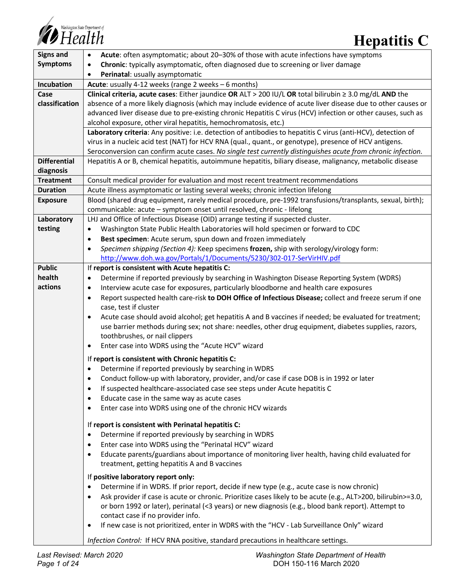

| <b>Signs and</b>        | Acute: often asymptomatic; about 20-30% of those with acute infections have symptoms<br>$\bullet$                                            |  |  |
|-------------------------|----------------------------------------------------------------------------------------------------------------------------------------------|--|--|
| <b>Symptoms</b>         | Chronic: typically asymptomatic, often diagnosed due to screening or liver damage<br>$\bullet$                                               |  |  |
|                         | Perinatal: usually asymptomatic<br>$\bullet$                                                                                                 |  |  |
| Incubation              | Acute: usually 4-12 weeks (range 2 weeks - 6 months)                                                                                         |  |  |
| Case                    | Clinical criteria, acute cases: Either jaundice OR ALT > 200 IU/L OR total bilirubin $\geq$ 3.0 mg/dL AND the                                |  |  |
| classification          | absence of a more likely diagnosis (which may include evidence of acute liver disease due to other causes or                                 |  |  |
|                         | advanced liver disease due to pre-existing chronic Hepatitis C virus (HCV) infection or other causes, such as                                |  |  |
|                         | alcohol exposure, other viral hepatitis, hemochromatosis, etc.)                                                                              |  |  |
|                         | Laboratory criteria: Any positive: i.e. detection of antibodies to hepatitis C virus (anti-HCV), detection of                                |  |  |
|                         | virus in a nucleic acid test (NAT) for HCV RNA (qual., quant., or genotype), presence of HCV antigens.                                       |  |  |
|                         | Seroconversion can confirm acute cases. No single test currently distinguishes acute from chronic infection.                                 |  |  |
| <b>Differential</b>     | Hepatitis A or B, chemical hepatitis, autoimmune hepatitis, biliary disease, malignancy, metabolic disease                                   |  |  |
| diagnosis               |                                                                                                                                              |  |  |
| <b>Treatment</b>        | Consult medical provider for evaluation and most recent treatment recommendations                                                            |  |  |
| <b>Duration</b>         | Acute illness asymptomatic or lasting several weeks; chronic infection lifelong                                                              |  |  |
| <b>Exposure</b>         | Blood (shared drug equipment, rarely medical procedure, pre-1992 transfusions/transplants, sexual, birth);                                   |  |  |
|                         | communicable: acute - symptom onset until resolved, chronic - lifelong                                                                       |  |  |
| Laboratory              | LHJ and Office of Infectious Disease (OID) arrange testing if suspected cluster.                                                             |  |  |
| testing                 | Washington State Public Health Laboratories will hold specimen or forward to CDC<br>$\bullet$                                                |  |  |
|                         | Best specimen: Acute serum, spun down and frozen immediately<br>$\bullet$                                                                    |  |  |
|                         | Specimen shipping (Section 4): Keep specimens frozen, ship with serology/virology form:<br>$\bullet$                                         |  |  |
|                         | http://www.doh.wa.gov/Portals/1/Documents/5230/302-017-SerVirHIV.pdf                                                                         |  |  |
| <b>Public</b><br>health | If report is consistent with Acute hepatitis C:                                                                                              |  |  |
| actions                 | Determine if reported previously by searching in Washington Disease Reporting System (WDRS)<br>$\bullet$                                     |  |  |
|                         | Interview acute case for exposures, particularly bloodborne and health care exposures<br>$\bullet$                                           |  |  |
|                         | Report suspected health care-risk to DOH Office of Infectious Disease; collect and freeze serum if one<br>$\bullet$<br>case, test if cluster |  |  |
|                         | Acute case should avoid alcohol; get hepatitis A and B vaccines if needed; be evaluated for treatment;<br>$\bullet$                          |  |  |
|                         | use barrier methods during sex; not share: needles, other drug equipment, diabetes supplies, razors,                                         |  |  |
|                         | toothbrushes, or nail clippers                                                                                                               |  |  |
|                         | Enter case into WDRS using the "Acute HCV" wizard<br>$\bullet$                                                                               |  |  |
|                         |                                                                                                                                              |  |  |
|                         | If report is consistent with Chronic hepatitis C:<br>Determine if reported previously by searching in WDRS                                   |  |  |
|                         | Conduct follow-up with laboratory, provider, and/or case if case DOB is in 1992 or later                                                     |  |  |
|                         | $\bullet$                                                                                                                                    |  |  |
|                         | If suspected healthcare-associated case see steps under Acute hepatitis C<br>$\bullet$<br>Educate case in the same way as acute cases        |  |  |
|                         | $\bullet$<br>Enter case into WDRS using one of the chronic HCV wizards<br>$\bullet$                                                          |  |  |
|                         |                                                                                                                                              |  |  |
|                         | If report is consistent with Perinatal hepatitis C:                                                                                          |  |  |
|                         | Determine if reported previously by searching in WDRS<br>$\bullet$                                                                           |  |  |
|                         | Enter case into WDRS using the "Perinatal HCV" wizard<br>$\bullet$                                                                           |  |  |
|                         | Educate parents/guardians about importance of monitoring liver health, having child evaluated for<br>$\bullet$                               |  |  |
|                         | treatment, getting hepatitis A and B vaccines                                                                                                |  |  |
|                         | If positive laboratory report only:                                                                                                          |  |  |
|                         | Determine if in WDRS. If prior report, decide if new type (e.g., acute case is now chronic)<br>$\bullet$                                     |  |  |
|                         | Ask provider if case is acute or chronic. Prioritize cases likely to be acute (e.g., ALT>200, bilirubin>=3.0,<br>$\bullet$                   |  |  |
|                         | or born 1992 or later), perinatal (<3 years) or new diagnosis (e.g., blood bank report). Attempt to                                          |  |  |
|                         | contact case if no provider info.                                                                                                            |  |  |
|                         | If new case is not prioritized, enter in WDRS with the "HCV - Lab Surveillance Only" wizard<br>$\bullet$                                     |  |  |
|                         | Infection Control: If HCV RNA positive, standard precautions in healthcare settings.                                                         |  |  |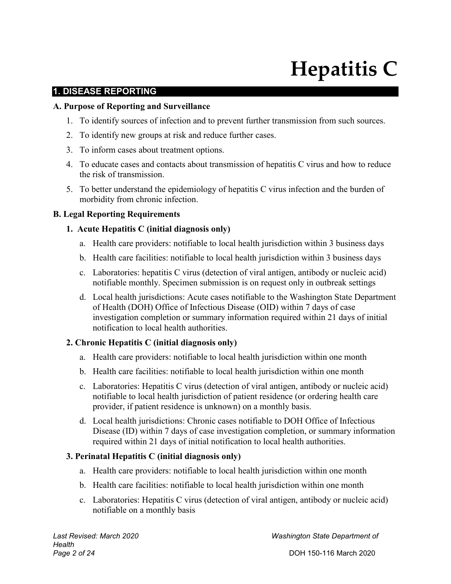# **Hepatitis C**

#### **1. DISEASE REPORTING**

#### **A. Purpose of Reporting and Surveillance**

- 1. To identify sources of infection and to prevent further transmission from such sources.
- 2. To identify new groups at risk and reduce further cases.
- 3. To inform cases about treatment options.
- 4. To educate cases and contacts about transmission of hepatitis C virus and how to reduce the risk of transmission.
- 5. To better understand the epidemiology of hepatitis C virus infection and the burden of morbidity from chronic infection.

#### **B. Legal Reporting Requirements**

#### **1. Acute Hepatitis C (initial diagnosis only)**

- a. Health care providers: notifiable to local health jurisdiction within 3 business days
- b. Health care facilities: notifiable to local health jurisdiction within 3 business days
- c. Laboratories: hepatitis C virus (detection of viral antigen, antibody or nucleic acid) notifiable monthly. Specimen submission is on request only in outbreak settings
- d. Local health jurisdictions: Acute cases notifiable to the Washington State Department of Health (DOH) Office of Infectious Disease (OID) within 7 days of case investigation completion or summary information required within 21 days of initial notification to local health authorities.

#### **2. Chronic Hepatitis C (initial diagnosis only)**

- a. Health care providers: notifiable to local health jurisdiction within one month
- b. Health care facilities: notifiable to local health jurisdiction within one month
- c. Laboratories: Hepatitis C virus (detection of viral antigen, antibody or nucleic acid) notifiable to local health jurisdiction of patient residence (or ordering health care provider, if patient residence is unknown) on a monthly basis.
- d. Local health jurisdictions: Chronic cases notifiable to DOH Office of Infectious Disease (ID) within 7 days of case investigation completion, or summary information required within 21 days of initial notification to local health authorities.

## **3. Perinatal Hepatitis C (initial diagnosis only)**

- a. Health care providers: notifiable to local health jurisdiction within one month
- b. Health care facilities: notifiable to local health jurisdiction within one month
- c. Laboratories: Hepatitis C virus (detection of viral antigen, antibody or nucleic acid) notifiable on a monthly basis

*Last Revised: March 2020 Washington State Department of*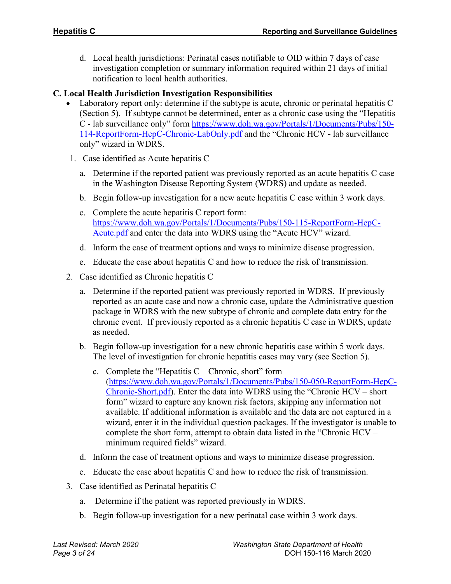d. Local health jurisdictions: Perinatal cases notifiable to OID within 7 days of case investigation completion or summary information required within 21 days of initial notification to local health authorities.

#### **C. Local Health Jurisdiction Investigation Responsibilities**

- Laboratory report only: determine if the subtype is acute, chronic or perinatal hepatitis C (Section 5). If subtype cannot be determined, enter as a chronic case using the "Hepatitis C - lab surveillance only" form [https://www.doh.wa.gov/Portals/1/Documents/Pubs/150-](https://www.doh.wa.gov/Portals/1/Documents/Pubs/150-114-ReportForm-HepC-Chronic-LabOnly.pdf) [114-ReportForm-HepC-Chronic-LabOnly.pdf](https://www.doh.wa.gov/Portals/1/Documents/Pubs/150-114-ReportForm-HepC-Chronic-LabOnly.pdf) and the "Chronic HCV - lab surveillance only" wizard in WDRS.
- 1. Case identified as Acute hepatitis C
	- a. Determine if the reported patient was previously reported as an acute hepatitis C case in the Washington Disease Reporting System (WDRS) and update as needed.
	- b. Begin follow-up investigation for a new acute hepatitis C case within 3 work days.
	- c. Complete the acute hepatitis C report form: [https://www.doh.wa.gov/Portals/1/Documents/Pubs/150-115-ReportForm-HepC-](https://www.doh.wa.gov/Portals/1/Documents/Pubs/150-115-ReportForm-HepC-Acute.pdf)[Acute.pdf](https://www.doh.wa.gov/Portals/1/Documents/Pubs/150-115-ReportForm-HepC-Acute.pdf) and enter the data into WDRS using the "Acute HCV" wizard.
	- d. Inform the case of treatment options and ways to minimize disease progression.
	- e. Educate the case about hepatitis C and how to reduce the risk of transmission.
- 2. Case identified as Chronic hepatitis C
	- a. Determine if the reported patient was previously reported in WDRS. If previously reported as an acute case and now a chronic case, update the Administrative question package in WDRS with the new subtype of chronic and complete data entry for the chronic event. If previously reported as a chronic hepatitis C case in WDRS, update as needed.
	- b. Begin follow-up investigation for a new chronic hepatitis case within 5 work days. The level of investigation for chronic hepatitis cases may vary (see Section 5).
		- c. Complete the "Hepatitis  $C -$ Chronic, short" form [\(https://www.doh.wa.gov/Portals/1/Documents/Pubs/150-050-ReportForm-HepC-](https://www.doh.wa.gov/Portals/1/Documents/Pubs/150-050-ReportForm-HepC-Chronic-Short.pdf)[Chronic-Short.pdf\)](https://www.doh.wa.gov/Portals/1/Documents/Pubs/150-050-ReportForm-HepC-Chronic-Short.pdf). Enter the data into WDRS using the "Chronic HCV – short form" wizard to capture any known risk factors, skipping any information not available. If additional information is available and the data are not captured in a wizard, enter it in the individual question packages. If the investigator is unable to complete the short form, attempt to obtain data listed in the "Chronic HCV – minimum required fields" wizard.
	- d. Inform the case of treatment options and ways to minimize disease progression.
	- e. Educate the case about hepatitis C and how to reduce the risk of transmission.
- 3. Case identified as Perinatal hepatitis C
	- a. Determine if the patient was reported previously in WDRS.
	- b. Begin follow-up investigation for a new perinatal case within 3 work days.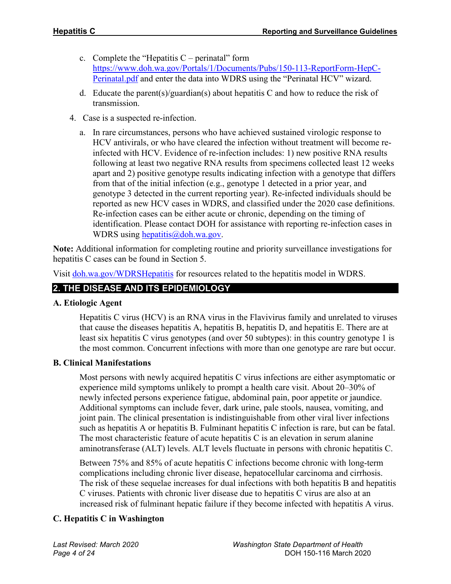- c. Complete the "Hepatitis  $C$  perinatal" form [https://www.doh.wa.gov/Portals/1/Documents/Pubs/150-113-ReportForm-HepC-](https://www.doh.wa.gov/Portals/1/Documents/Pubs/150-113-ReportForm-HepC-Perinatal.pdf)[Perinatal.pdf](https://www.doh.wa.gov/Portals/1/Documents/Pubs/150-113-ReportForm-HepC-Perinatal.pdf) and enter the data into WDRS using the "Perinatal HCV" wizard.
- d. Educate the parent(s)/guardian(s) about hepatitis C and how to reduce the risk of transmission.
- 4. Case is a suspected re-infection.
	- a. In rare circumstances, persons who have achieved sustained virologic response to HCV antivirals, or who have cleared the infection without treatment will become reinfected with HCV. Evidence of re-infection includes: 1) new positive RNA results following at least two negative RNA results from specimens collected least 12 weeks apart and 2) positive genotype results indicating infection with a genotype that differs from that of the initial infection (e.g., genotype 1 detected in a prior year, and genotype 3 detected in the current reporting year). Re-infected individuals should be reported as new HCV cases in WDRS, and classified under the 2020 case definitions. Re-infection cases can be either acute or chronic, depending on the timing of identification. Please contact DOH for assistance with reporting re-infection cases in WDRS using [hepatitis@doh.wa.gov.](mailto:hepatitis@doh.wa.gov)

**Note:** Additional information for completing routine and priority surveillance investigations for hepatitis C cases can be found in Section 5.

Visit [doh.wa.gov/WDRSHepatitis](https://www.doh.wa.gov/ForPublicHealthandHealthcareProviders/PublicHealthSystemResourcesandServices/WDRS/Hepatitis) for resources related to the hepatitis model in WDRS.

## **2. THE DISEASE AND ITS EPIDEMIOLOGY**

#### **A. Etiologic Agent**

Hepatitis C virus (HCV) is an RNA virus in the Flavivirus family and unrelated to viruses that cause the diseases hepatitis A, hepatitis B, hepatitis D, and hepatitis E. There are at least six hepatitis C virus genotypes (and over 50 subtypes): in this country genotype 1 is the most common. Concurrent infections with more than one genotype are rare but occur.

#### **B. Clinical Manifestations**

Most persons with newly acquired hepatitis C virus infections are either asymptomatic or experience mild symptoms unlikely to prompt a health care visit. About 20–30% of newly infected persons experience fatigue, abdominal pain, poor appetite or jaundice. Additional symptoms can include fever, dark urine, pale stools, nausea, vomiting, and joint pain. The clinical presentation is indistinguishable from other viral liver infections such as hepatitis A or hepatitis B. Fulminant hepatitis C infection is rare, but can be fatal. The most characteristic feature of acute hepatitis C is an elevation in serum alanine aminotransferase (ALT) levels. ALT levels fluctuate in persons with chronic hepatitis C.

Between 75% and 85% of acute hepatitis C infections become chronic with long-term complications including chronic liver disease, hepatocellular carcinoma and cirrhosis. The risk of these sequelae increases for dual infections with both hepatitis B and hepatitis C viruses. Patients with chronic liver disease due to hepatitis C virus are also at an increased risk of fulminant hepatic failure if they become infected with hepatitis A virus.

## **C. Hepatitis C in Washington**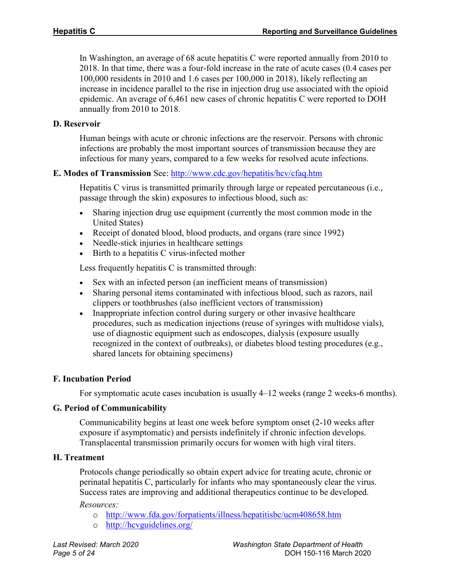In Washington, an average of 68 acute hepatitis C were reported annually from 2010 to 2018. In that time, there was a four-fold increase in the rate of acute cases (0.4 cases per 100,000 residents in 2010 and 1.6 cases per 100,000 in 2018), likely reflecting an increase in incidence parallel to the rise in injection drug use associated with the opioid epidemic. An average of 6,461 new cases of chronic hepatitis C were reported to DOH annually from 2010 to 2018.

#### **D. Reservoir**

Human beings with acute or chronic infections are the reservoir. Persons with chronic infections are probably the most important sources of transmission because they are infectious for many years, compared to a few weeks for resolved acute infections.

#### **E. Modes of Transmission** See: <http://www.cdc.gov/hepatitis/hcv/cfaq.htm>

Hepatitis C virus is transmitted primarily through large or repeated percutaneous (i.e., passage through the skin) exposures to infectious blood, such as:

- Sharing injection drug use equipment (currently the most common mode in the United States)
- Receipt of donated blood, blood products, and organs (rare since 1992)
- Needle-stick injuries in healthcare settings
- Birth to a hepatitis C virus-infected mother

Less frequently hepatitis C is transmitted through:

- Sex with an infected person (an inefficient means of transmission)
- Sharing personal items contaminated with infectious blood, such as razors, nail clippers or toothbrushes (also inefficient vectors of transmission)
- Inappropriate infection control during surgery or other invasive healthcare procedures, such as medication injections (reuse of syringes with multidose vials), use of diagnostic equipment such as endoscopes, dialysis (exposure usually recognized in the context of outbreaks), or diabetes blood testing procedures (e.g., shared lancets for obtaining specimens)

#### **F. Incubation Period**

For symptomatic acute cases incubation is usually 4–12 weeks (range 2 weeks-6 months).

#### **G. Period of Communicability**

Communicability begins at least one week before symptom onset (2-10 weeks after exposure if asymptomatic) and persists indefinitely if chronic infection develops. Transplacental transmission primarily occurs for women with high viral titers.

#### **H. Treatment**

Protocols change periodically so obtain expert advice for treating acute, chronic or perinatal hepatitis C, particularly for infants who may spontaneously clear the virus. Success rates are improving and additional therapeutics continue to be developed.

*Resources:*

- o <http://www.fda.gov/forpatients/illness/hepatitisbc/ucm408658.htm>
- o <http://hcvguidelines.org/>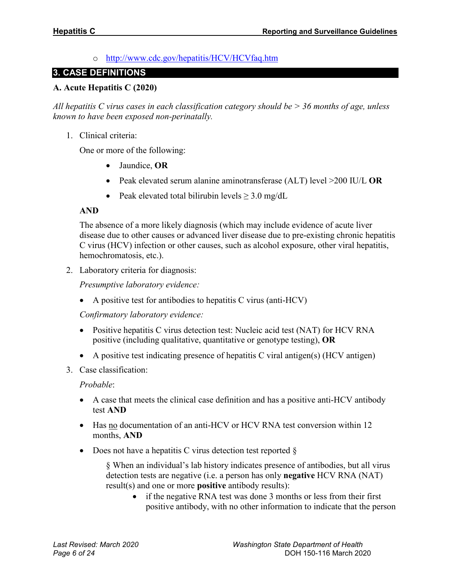o <http://www.cdc.gov/hepatitis/HCV/HCVfaq.htm>

#### **3. CASE DEFINITIONS**

#### **A. Acute Hepatitis C (2020)**

*All hepatitis C virus cases in each classification category should be > 36 months of age, unless known to have been exposed non-perinatally.*

1. Clinical criteria:

One or more of the following:

- Jaundice, **OR**
- Peak elevated serum alanine aminotransferase (ALT) level >200 IU/L **OR**
- Peak elevated total bilirubin levels  $\geq 3.0$  mg/dL

#### **AND**

The absence of a more likely diagnosis (which may include evidence of acute liver disease due to other causes or advanced liver disease due to pre-existing chronic hepatitis C virus (HCV) infection or other causes, such as alcohol exposure, other viral hepatitis, hemochromatosis, etc.).

2. Laboratory criteria for diagnosis:

*Presumptive laboratory evidence:*

• A positive test for antibodies to hepatitis C virus (anti-HCV)

*Confirmatory laboratory evidence:*

- Positive hepatitis C virus detection test: Nucleic acid test (NAT) for HCV RNA positive (including qualitative, quantitative or genotype testing), **OR**
- A positive test indicating presence of hepatitis C viral antigen(s) (HCV antigen)
- 3. Case classification:

#### *Probable*:

- A case that meets the clinical case definition and has a positive anti-HCV antibody test **AND**
- Has no documentation of an anti-HCV or HCV RNA test conversion within 12 months, **AND**
- Does not have a hepatitis C virus detection test reported  $\S$

§ When an individual's lab history indicates presence of antibodies, but all virus detection tests are negative (i.e. a person has only **negative** HCV RNA (NAT) result(s) and one or more **positive** antibody results):

• if the negative RNA test was done 3 months or less from their first positive antibody, with no other information to indicate that the person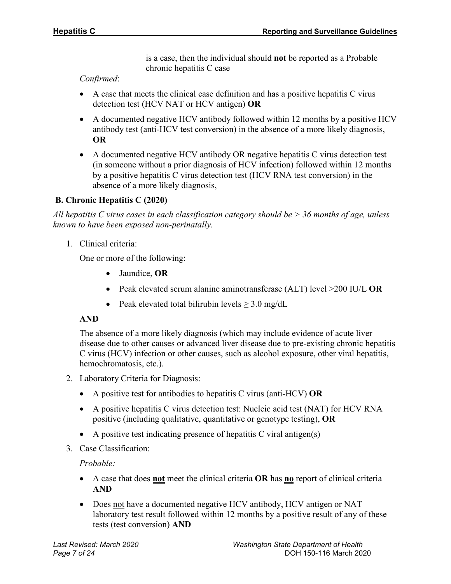is a case, then the individual should **not** be reported as a Probable chronic hepatitis C case

*Confirmed*:

- A case that meets the clinical case definition and has a positive hepatitis C virus detection test (HCV NAT or HCV antigen) **OR**
- A documented negative HCV antibody followed within 12 months by a positive HCV antibody test (anti-HCV test conversion) in the absence of a more likely diagnosis, **OR**
- A documented negative HCV antibody OR negative hepatitis C virus detection test (in someone without a prior diagnosis of HCV infection) followed within 12 months by a positive hepatitis C virus detection test (HCV RNA test conversion) in the absence of a more likely diagnosis,

#### **B. Chronic Hepatitis C (2020)**

*All hepatitis C virus cases in each classification category should be > 36 months of age, unless known to have been exposed non-perinatally.*

1. Clinical criteria:

One or more of the following:

- Jaundice, **OR**
- Peak elevated serum alanine aminotransferase (ALT) level >200 IU/L **OR**
- Peak elevated total bilirubin levels  $\geq 3.0$  mg/dL

#### **AND**

The absence of a more likely diagnosis (which may include evidence of acute liver disease due to other causes or advanced liver disease due to pre-existing chronic hepatitis C virus (HCV) infection or other causes, such as alcohol exposure, other viral hepatitis, hemochromatosis, etc.).

- 2. Laboratory Criteria for Diagnosis:
	- A positive test for antibodies to hepatitis C virus (anti-HCV) **OR**
	- A positive hepatitis C virus detection test: Nucleic acid test (NAT) for HCV RNA positive (including qualitative, quantitative or genotype testing), **OR**
	- A positive test indicating presence of hepatitis C viral antigen(s)
- 3. Case Classification:

*Probable:*

- A case that does **not** meet the clinical criteria **OR** has **no** report of clinical criteria **AND**
- Does not have a documented negative HCV antibody, HCV antigen or NAT laboratory test result followed within 12 months by a positive result of any of these tests (test conversion) **AND**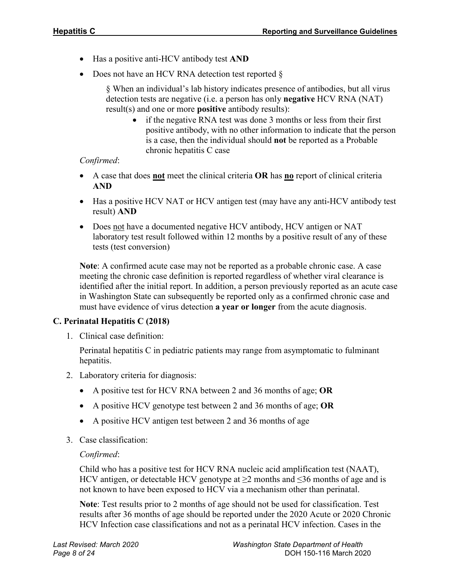- Has a positive anti-HCV antibody test **AND**
- Does not have an HCV RNA detection test reported  $\S$

§ When an individual's lab history indicates presence of antibodies, but all virus detection tests are negative (i.e. a person has only **negative** HCV RNA (NAT) result(s) and one or more **positive** antibody results):

• if the negative RNA test was done 3 months or less from their first positive antibody, with no other information to indicate that the person is a case, then the individual should **not** be reported as a Probable chronic hepatitis C case

#### *Confirmed*:

- A case that does **not** meet the clinical criteria **OR** has **no** report of clinical criteria **AND**
- Has a positive HCV NAT or HCV antigen test (may have any anti-HCV antibody test result) **AND**
- Does not have a documented negative HCV antibody, HCV antigen or NAT laboratory test result followed within 12 months by a positive result of any of these tests (test conversion)

**Note**: A confirmed acute case may not be reported as a probable chronic case. A case meeting the chronic case definition is reported regardless of whether viral clearance is identified after the initial report. In addition, a person previously reported as an acute case in Washington State can subsequently be reported only as a confirmed chronic case and must have evidence of virus detection **a year or longer** from the acute diagnosis.

#### **C. Perinatal Hepatitis C (2018)**

1. Clinical case definition:

Perinatal hepatitis C in pediatric patients may range from asymptomatic to fulminant hepatitis.

- 2. Laboratory criteria for diagnosis:
	- A positive test for HCV RNA between 2 and 36 months of age; **OR**
	- A positive HCV genotype test between 2 and 36 months of age; **OR**
	- A positive HCV antigen test between 2 and 36 months of age
- 3. Case classification:

#### *Confirmed*:

Child who has a positive test for HCV RNA nucleic acid amplification test (NAAT), HCV antigen, or detectable HCV genotype at  $\geq$ 2 months and  $\leq$ 36 months of age and is not known to have been exposed to HCV via a mechanism other than perinatal.

**Note**: Test results prior to 2 months of age should not be used for classification. Test results after 36 months of age should be reported under the 2020 Acute or 2020 Chronic HCV Infection case classifications and not as a perinatal HCV infection. Cases in the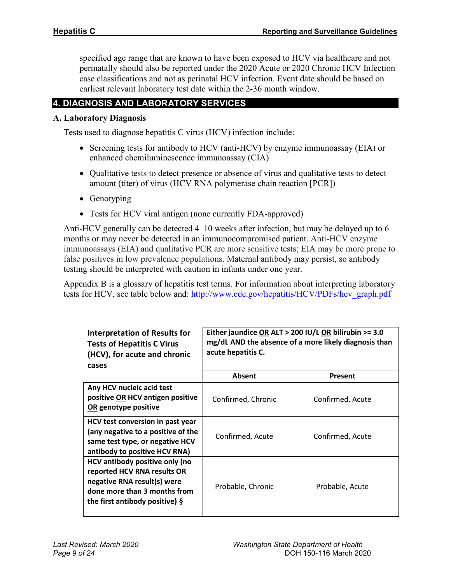specified age range that are known to have been exposed to HCV via healthcare and not perinatally should also be reported under the 2020 Acute or 2020 Chronic HCV Infection case classifications and not as perinatal HCV infection. Event date should be based on earliest relevant laboratory test date within the 2-36 month window.

## **4. DIAGNOSIS AND LABORATORY SERVICES**

#### **A. Laboratory Diagnosis**

Tests used to diagnose hepatitis C virus (HCV) infection include:

- Screening tests for antibody to HCV (anti-HCV) by enzyme immunoassay (EIA) or enhanced chemiluminescence immunoassay (CIA)
- Qualitative tests to detect presence or absence of virus and qualitative tests to detect amount (titer) of virus (HCV RNA polymerase chain reaction [PCR])
- Genotyping
- Tests for HCV viral antigen (none currently FDA-approved)

Anti-HCV generally can be detected 4–10 weeks after infection, but may be delayed up to 6 months or may never be detected in an immunocompromised patient. Anti-HCV enzyme immunoassays (EIA) and qualitative PCR are more sensitive tests; EIA may be more prone to false positives in low prevalence populations. Maternal antibody may persist, so antibody testing should be interpreted with caution in infants under one year.

Appendix B is a glossary of hepatitis test terms. For information about interpreting laboratory tests for HCV, see table below and: [http://www.cdc.gov/hepatitis/HCV/PDFs/hcv\\_graph.pdf](http://www.cdc.gov/hepatitis/HCV/PDFs/hcv_graph.pdf)

| <b>Interpretation of Results for</b><br><b>Tests of Hepatitis C Virus</b><br>(HCV), for acute and chronic<br>cases                                                | Either jaundice OR ALT > 200 IU/L OR bilirubin >= 3.0<br>mg/dL AND the absence of a more likely diagnosis than<br>acute hepatitis C. |                  |  |
|-------------------------------------------------------------------------------------------------------------------------------------------------------------------|--------------------------------------------------------------------------------------------------------------------------------------|------------------|--|
|                                                                                                                                                                   | Absent                                                                                                                               | Present          |  |
| Any HCV nucleic acid test<br>positive OR HCV antigen positive<br>OR genotype positive                                                                             | Confirmed, Chronic                                                                                                                   | Confirmed, Acute |  |
| HCV test conversion in past year<br>(any negative to a positive of the<br>same test type, or negative HCV<br>antibody to positive HCV RNA)                        | Confirmed, Acute                                                                                                                     | Confirmed, Acute |  |
| HCV antibody positive only (no<br>reported HCV RNA results OR<br>negative RNA result(s) were<br>done more than 3 months from<br>the first antibody positive) $\S$ | Probable, Chronic                                                                                                                    | Probable, Acute  |  |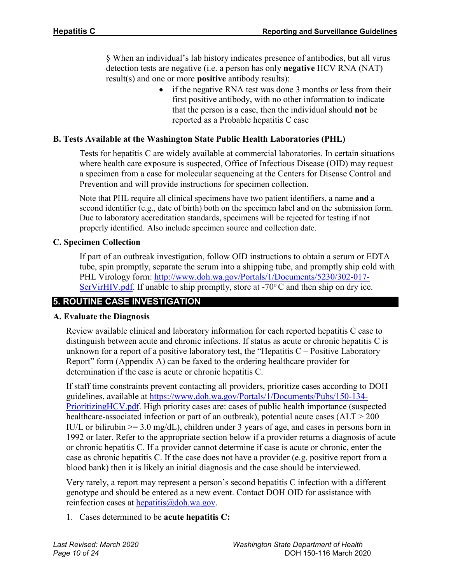§ When an individual's lab history indicates presence of antibodies, but all virus detection tests are negative (i.e. a person has only **negative** HCV RNA (NAT) result(s) and one or more **positive** antibody results):

> • if the negative RNA test was done 3 months or less from their first positive antibody, with no other information to indicate that the person is a case, then the individual should **not** be reported as a Probable hepatitis C case

#### **B. Tests Available at the Washington State Public Health Laboratories (PHL)**

Tests for hepatitis C are widely available at commercial laboratories. In certain situations where health care exposure is suspected, Office of Infectious Disease (OID) may request a specimen from a case for molecular sequencing at the Centers for Disease Control and Prevention and will provide instructions for specimen collection.

Note that PHL require all clinical specimens have two patient identifiers, a name **and** a second identifier (e.g., date of birth) both on the specimen label and on the submission form. Due to laboratory accreditation standards, specimens will be rejected for testing if not properly identified. Also include specimen source and collection date.

#### **C. Specimen Collection**

If part of an outbreak investigation, follow OID instructions to obtain a serum or EDTA tube, spin promptly, separate the serum into a shipping tube, and promptly ship cold with PHL Virology form: [http://www.doh.wa.gov/Portals/1/Documents/5230/302-017-](http://www.doh.wa.gov/Portals/1/Documents/5230/302-017-SerVirHIV.pdf) [SerVirHIV.pdf.](http://www.doh.wa.gov/Portals/1/Documents/5230/302-017-SerVirHIV.pdf) If unable to ship promptly, store at  $-70^{\circ}$ C and then ship on dry ice.

## **5. ROUTINE CASE INVESTIGATION**

#### **A. Evaluate the Diagnosis**

Review available clinical and laboratory information for each reported hepatitis C case to distinguish between acute and chronic infections. If status as acute or chronic hepatitis C is unknown for a report of a positive laboratory test, the "Hepatitis  $C -$  Positive Laboratory Report" form (Appendix A) can be faxed to the ordering healthcare provider for determination if the case is acute or chronic hepatitis C.

If staff time constraints prevent contacting all providers, prioritize cases according to DOH guidelines, available at [https://www.doh.wa.gov/Portals/1/Documents/Pubs/150-134-](https://www.doh.wa.gov/Portals/1/Documents/Pubs/150-134-PrioritizingHCV.pdf) Prioritizing HCV.pdf. High priority cases are: cases of public health importance (suspected healthcare-associated infection or part of an outbreak), potential acute cases (ALT > 200 IU/L or bilirubin  $\ge$  3.0 mg/dL), children under 3 years of age, and cases in persons born in 1992 or later. Refer to the appropriate section below if a provider returns a diagnosis of acute or chronic hepatitis C. If a provider cannot determine if case is acute or chronic, enter the case as chronic hepatitis C. If the case does not have a provider (e.g. positive report from a blood bank) then it is likely an initial diagnosis and the case should be interviewed.

Very rarely, a report may represent a person's second hepatitis C infection with a different genotype and should be entered as a new event. Contact DOH OID for assistance with reinfection cases at  $he$ *patitis@doh.wa.gov.* 

1. Cases determined to be **acute hepatitis C:**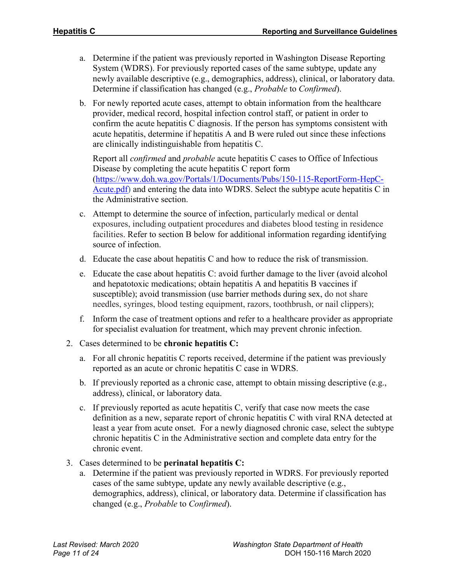- a. Determine if the patient was previously reported in Washington Disease Reporting System (WDRS). For previously reported cases of the same subtype, update any newly available descriptive (e.g., demographics, address), clinical, or laboratory data. Determine if classification has changed (e.g., *Probable* to *Confirmed*).
- b. For newly reported acute cases, attempt to obtain information from the healthcare provider, medical record, hospital infection control staff, or patient in order to confirm the acute hepatitis C diagnosis. If the person has symptoms consistent with acute hepatitis, determine if hepatitis A and B were ruled out since these infections are clinically indistinguishable from hepatitis C.

Report all *confirmed* and *probable* acute hepatitis C cases to Office of Infectious Disease by completing the acute hepatitis C report form [\(https://www.doh.wa.gov/Portals/1/Documents/Pubs/150-115-ReportForm-HepC-](https://www.doh.wa.gov/Portals/1/Documents/Pubs/150-115-ReportForm-HepC-Acute.pdf)[Acute.pdf\)](https://www.doh.wa.gov/Portals/1/Documents/Pubs/150-115-ReportForm-HepC-Acute.pdf) and entering the data into WDRS. Select the subtype acute hepatitis C in the Administrative section.

- c. Attempt to determine the source of infection, particularly medical or dental exposures, including outpatient procedures and diabetes blood testing in residence facilities. Refer to section B below for additional information regarding identifying source of infection.
- d. Educate the case about hepatitis C and how to reduce the risk of transmission.
- e. Educate the case about hepatitis C: avoid further damage to the liver (avoid alcohol and hepatotoxic medications; obtain hepatitis A and hepatitis B vaccines if susceptible); avoid transmission (use barrier methods during sex, do not share needles, syringes, blood testing equipment, razors, toothbrush, or nail clippers);
- f. Inform the case of treatment options and refer to a healthcare provider as appropriate for specialist evaluation for treatment, which may prevent chronic infection.
- 2. Cases determined to be **chronic hepatitis C:**
	- a. For all chronic hepatitis C reports received, determine if the patient was previously reported as an acute or chronic hepatitis C case in WDRS.
	- b. If previously reported as a chronic case, attempt to obtain missing descriptive (e.g., address), clinical, or laboratory data.
	- c. If previously reported as acute hepatitis C, verify that case now meets the case definition as a new, separate report of chronic hepatitis C with viral RNA detected at least a year from acute onset. For a newly diagnosed chronic case, select the subtype chronic hepatitis C in the Administrative section and complete data entry for the chronic event.
- 3. Cases determined to be **perinatal hepatitis C:**
	- a. Determine if the patient was previously reported in WDRS. For previously reported cases of the same subtype, update any newly available descriptive (e.g., demographics, address), clinical, or laboratory data. Determine if classification has changed (e.g., *Probable* to *Confirmed*).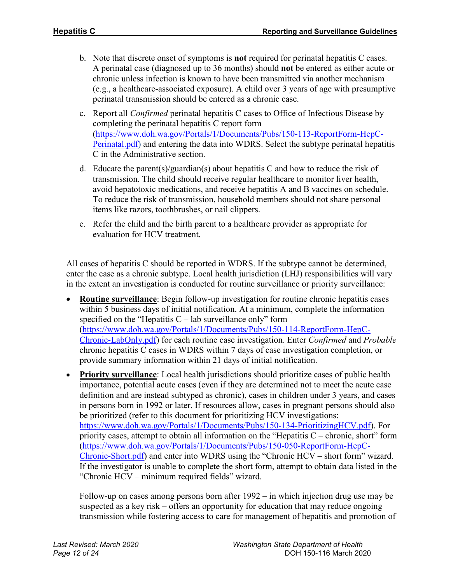- b. Note that discrete onset of symptoms is **not** required for perinatal hepatitis C cases. A perinatal case (diagnosed up to 36 months) should **not** be entered as either acute or chronic unless infection is known to have been transmitted via another mechanism (e.g., a healthcare-associated exposure). A child over 3 years of age with presumptive perinatal transmission should be entered as a chronic case.
- c. Report all *Confirmed* perinatal hepatitis C cases to Office of Infectious Disease by completing the perinatal hepatitis C report form [\(https://www.doh.wa.gov/Portals/1/Documents/Pubs/150-113-ReportForm-HepC-](https://www.doh.wa.gov/Portals/1/Documents/Pubs/150-113-ReportForm-HepC-Perinatal.pdf)[Perinatal.pdf\)](https://www.doh.wa.gov/Portals/1/Documents/Pubs/150-113-ReportForm-HepC-Perinatal.pdf) and entering the data into WDRS. Select the subtype perinatal hepatitis C in the Administrative section.
- d. Educate the parent(s)/guardian(s) about hepatitis C and how to reduce the risk of transmission. The child should receive regular healthcare to monitor liver health, avoid hepatotoxic medications, and receive hepatitis A and B vaccines on schedule. To reduce the risk of transmission, household members should not share personal items like razors, toothbrushes, or nail clippers.
- e. Refer the child and the birth parent to a healthcare provider as appropriate for evaluation for HCV treatment.

All cases of hepatitis C should be reported in WDRS. If the subtype cannot be determined, enter the case as a chronic subtype. Local health jurisdiction (LHJ) responsibilities will vary in the extent an investigation is conducted for routine surveillance or priority surveillance:

- **Routine surveillance**: Begin follow-up investigation for routine chronic hepatitis cases within 5 business days of initial notification. At a minimum, complete the information specified on the "Hepatitis  $C$  – lab surveillance only" form [\(https://www.doh.wa.gov/Portals/1/Documents/Pubs/150-114-ReportForm-HepC-](https://www.doh.wa.gov/Portals/1/Documents/Pubs/150-114-ReportForm-HepC-Chronic-LabOnly.pdf)[Chronic-LabOnly.pdf\)](https://www.doh.wa.gov/Portals/1/Documents/Pubs/150-114-ReportForm-HepC-Chronic-LabOnly.pdf) for each routine case investigation. Enter *Confirmed* and *Probable*  chronic hepatitis C cases in WDRS within 7 days of case investigation completion, or provide summary information within 21 days of initial notification.
- **Priority surveillance**: Local health jurisdictions should prioritize cases of public health importance, potential acute cases (even if they are determined not to meet the acute case definition and are instead subtyped as chronic), cases in children under 3 years, and cases in persons born in 1992 or later. If resources allow, cases in pregnant persons should also be prioritized (refer to this document for prioritizing HCV investigations: [https://www.doh.wa.gov/Portals/1/Documents/Pubs/150-134-PrioritizingHCV.pdf\)](https://www.doh.wa.gov/Portals/1/Documents/Pubs/150-134-PrioritizingHCV.pdf). For priority cases, attempt to obtain all information on the "Hepatitis  $C$  – chronic, short" form [\(https://www.doh.wa.gov/Portals/1/Documents/Pubs/150-050-ReportForm-HepC-](https://www.doh.wa.gov/Portals/1/Documents/Pubs/150-050-ReportForm-HepC-Chronic-Short.pdf)[Chronic-Short.pdf\)](https://www.doh.wa.gov/Portals/1/Documents/Pubs/150-050-ReportForm-HepC-Chronic-Short.pdf) and enter into WDRS using the "Chronic HCV – short form" wizard. If the investigator is unable to complete the short form, attempt to obtain data listed in the "Chronic HCV – minimum required fields" wizard.

Follow-up on cases among persons born after 1992 – in which injection drug use may be suspected as a key risk – offers an opportunity for education that may reduce ongoing transmission while fostering access to care for management of hepatitis and promotion of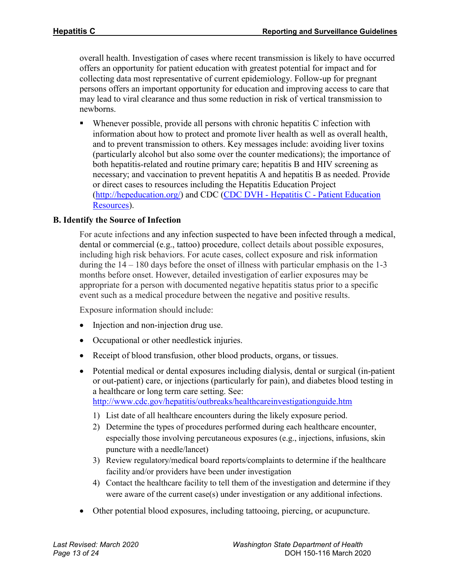overall health. Investigation of cases where recent transmission is likely to have occurred offers an opportunity for patient education with greatest potential for impact and for collecting data most representative of current epidemiology. Follow-up for pregnant persons offers an important opportunity for education and improving access to care that may lead to viral clearance and thus some reduction in risk of vertical transmission to newborns.

 Whenever possible, provide all persons with chronic hepatitis C infection with information about how to protect and promote liver health as well as overall health, and to prevent transmission to others. Key messages include: avoiding liver toxins (particularly alcohol but also some over the counter medications); the importance of both hepatitis-related and routine primary care; hepatitis B and HIV screening as necessary; and vaccination to prevent hepatitis A and hepatitis B as needed. Provide or direct cases to resources including the Hepatitis Education Project [\(http://hepeducation.org/\)](http://hepeducation.org/) and CDC (CDC DVH - Hepatitis C - [Patient Education](http://www.cdc.gov/hepatitis/hcv/patienteduhcv.htm)  [Resources\)](http://www.cdc.gov/hepatitis/hcv/patienteduhcv.htm).

#### **B. Identify the Source of Infection**

For acute infections and any infection suspected to have been infected through a medical, dental or commercial (e.g., tattoo) procedure, collect details about possible exposures, including high risk behaviors. For acute cases, collect exposure and risk information during the 14 – 180 days before the onset of illness with particular emphasis on the 1-3 months before onset. However, detailed investigation of earlier exposures may be appropriate for a person with documented negative hepatitis status prior to a specific event such as a medical procedure between the negative and positive results.

Exposure information should include:

- Injection and non-injection drug use.
- Occupational or other needlestick injuries.
- Receipt of blood transfusion, other blood products, organs, or tissues.
- Potential medical or dental exposures including dialysis, dental or surgical (in-patient or out-patient) care, or injections (particularly for pain), and diabetes blood testing in a healthcare or long term care setting. See: <http://www.cdc.gov/hepatitis/outbreaks/healthcareinvestigationguide.htm>
	- 1) List date of all healthcare encounters during the likely exposure period.
	- 2) Determine the types of procedures performed during each healthcare encounter, especially those involving percutaneous exposures (e.g., injections, infusions, skin puncture with a needle/lancet)
	- 3) Review regulatory/medical board reports/complaints to determine if the healthcare facility and/or providers have been under investigation
	- 4) Contact the healthcare facility to tell them of the investigation and determine if they were aware of the current case(s) under investigation or any additional infections.
- Other potential blood exposures, including tattooing, piercing, or acupuncture.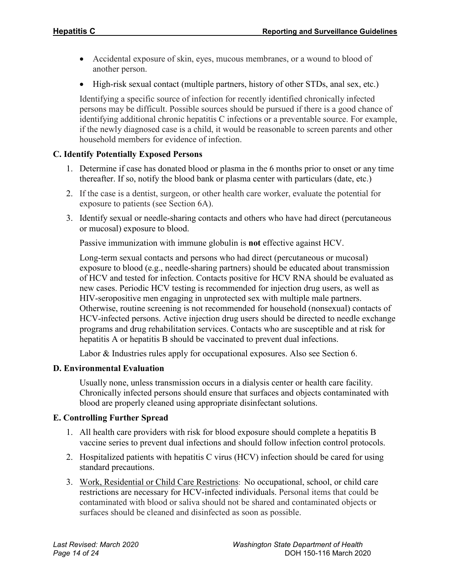- Accidental exposure of skin, eyes, mucous membranes, or a wound to blood of another person.
- High-risk sexual contact (multiple partners, history of other STDs, anal sex, etc.)

Identifying a specific source of infection for recently identified chronically infected persons may be difficult. Possible sources should be pursued if there is a good chance of identifying additional chronic hepatitis C infections or a preventable source. For example, if the newly diagnosed case is a child, it would be reasonable to screen parents and other household members for evidence of infection.

## **C. Identify Potentially Exposed Persons**

- 1. Determine if case has donated blood or plasma in the 6 months prior to onset or any time thereafter. If so, notify the blood bank or plasma center with particulars (date, etc.)
- 2. If the case is a dentist, surgeon, or other health care worker, evaluate the potential for exposure to patients (see Section 6A).
- 3. Identify sexual or needle-sharing contacts and others who have had direct (percutaneous or mucosal) exposure to blood.

Passive immunization with immune globulin is **not** effective against HCV.

Long-term sexual contacts and persons who had direct (percutaneous or mucosal) exposure to blood (e.g., needle-sharing partners) should be educated about transmission of HCV and tested for infection. Contacts positive for HCV RNA should be evaluated as new cases. Periodic HCV testing is recommended for injection drug users, as well as HIV-seropositive men engaging in unprotected sex with multiple male partners. Otherwise, routine screening is not recommended for household (nonsexual) contacts of HCV-infected persons. Active injection drug users should be directed to needle exchange programs and drug rehabilitation services. Contacts who are susceptible and at risk for hepatitis A or hepatitis B should be vaccinated to prevent dual infections.

Labor & Industries rules apply for occupational exposures. Also see Section 6.

## **D. Environmental Evaluation**

Usually none, unless transmission occurs in a dialysis center or health care facility. Chronically infected persons should ensure that surfaces and objects contaminated with blood are properly cleaned using appropriate disinfectant solutions.

## **E. Controlling Further Spread**

- 1. All health care providers with risk for blood exposure should complete a hepatitis B vaccine series to prevent dual infections and should follow infection control protocols.
- 2. Hospitalized patients with hepatitis C virus (HCV) infection should be cared for using standard precautions.
- 3. Work, Residential or Child Care Restrictions: No occupational, school, or child care restrictions are necessary for HCV-infected individuals. Personal items that could be contaminated with blood or saliva should not be shared and contaminated objects or surfaces should be cleaned and disinfected as soon as possible.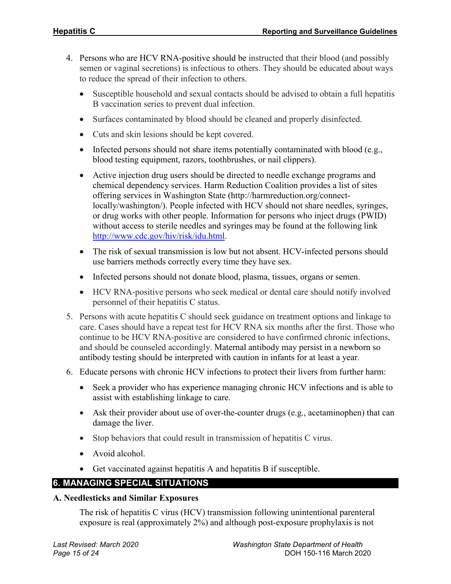- 4. Persons who are HCV RNA-positive should be instructed that their blood (and possibly semen or vaginal secretions) is infectious to others. They should be educated about ways to reduce the spread of their infection to others.
	- Susceptible household and sexual contacts should be advised to obtain a full hepatitis B vaccination series to prevent dual infection.
	- Surfaces contaminated by blood should be cleaned and properly disinfected.
	- Cuts and skin lesions should be kept covered.
	- Infected persons should not share items potentially contaminated with blood (e.g., blood testing equipment, razors, toothbrushes, or nail clippers).
	- Active injection drug users should be directed to needle exchange programs and chemical dependency services. Harm Reduction Coalition provides a list of sites offering services in Washington State (http://harmreduction.org/connectlocally/washington/). People infected with HCV should not share needles, syringes, or drug works with other people. Information for persons who inject drugs (PWID) without access to sterile needles and syringes may be found at the following link [http://www.cdc.gov/hiv/risk/idu.html.](http://www.cdc.gov/hiv/risk/idu.html)
	- The risk of sexual transmission is low but not absent. HCV-infected persons should use barriers methods correctly every time they have sex.
	- Infected persons should not donate blood, plasma, tissues, organs or semen.
	- HCV RNA-positive persons who seek medical or dental care should notify involved personnel of their hepatitis C status.
- 5. Persons with acute hepatitis C should seek guidance on treatment options and linkage to care. Cases should have a repeat test for HCV RNA six months after the first. Those who continue to be HCV RNA-positive are considered to have confirmed chronic infections, and should be counseled accordingly. Maternal antibody may persist in a newborn so antibody testing should be interpreted with caution in infants for at least a year.
- 6. Educate persons with chronic HCV infections to protect their livers from further harm:
	- Seek a provider who has experience managing chronic HCV infections and is able to assist with establishing linkage to care.
	- Ask their provider about use of over-the-counter drugs (e.g., acetaminophen) that can damage the liver.
	- Stop behaviors that could result in transmission of hepatitis C virus.
	- Avoid alcohol.
	- Get vaccinated against hepatitis A and hepatitis B if susceptible.

## **6. MANAGING SPECIAL SITUATIONS**

#### **A. Needlesticks and Similar Exposures**

The risk of hepatitis C virus (HCV) transmission following unintentional parenteral exposure is real (approximately 2%) and although post-exposure prophylaxis is not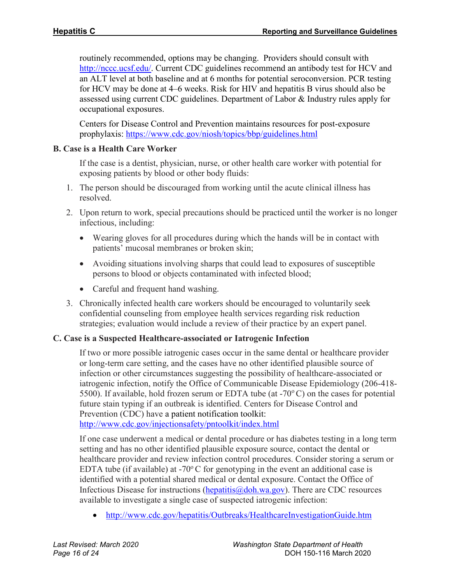routinely recommended, options may be changing. Providers should consult with [http://nccc.ucsf.edu/.](http://nccc.ucsf.edu/) Current CDC guidelines recommend an antibody test for HCV and an ALT level at both baseline and at 6 months for potential seroconversion. PCR testing for HCV may be done at 4–6 weeks. Risk for HIV and hepatitis B virus should also be assessed using current CDC guidelines. Department of Labor & Industry rules apply for occupational exposures.

Centers for Disease Control and Prevention maintains resources for post-exposure prophylaxis:<https://www.cdc.gov/niosh/topics/bbp/guidelines.html>

#### **B. Case is a Health Care Worker**

If the case is a dentist, physician, nurse, or other health care worker with potential for exposing patients by blood or other body fluids:

- 1. The person should be discouraged from working until the acute clinical illness has resolved.
- 2. Upon return to work, special precautions should be practiced until the worker is no longer infectious, including:
	- Wearing gloves for all procedures during which the hands will be in contact with patients' mucosal membranes or broken skin;
	- Avoiding situations involving sharps that could lead to exposures of susceptible persons to blood or objects contaminated with infected blood;
	- Careful and frequent hand washing.
- 3. Chronically infected health care workers should be encouraged to voluntarily seek confidential counseling from employee health services regarding risk reduction strategies; evaluation would include a review of their practice by an expert panel.

#### **C. Case is a Suspected Healthcare-associated or Iatrogenic Infection**

If two or more possible iatrogenic cases occur in the same dental or healthcare provider or long-term care setting, and the cases have no other identified plausible source of infection or other circumstances suggesting the possibility of healthcare-associated or iatrogenic infection, notify the Office of Communicable Disease Epidemiology (206-418- 5500). If available, hold frozen serum or EDTA tube (at  $-70^{\circ}$ C) on the cases for potential future stain typing if an outbreak is identified. Centers for Disease Control and Prevention (CDC) have a patient notification toolkit: <http://www.cdc.gov/injectionsafety/pntoolkit/index.html>

If one case underwent a medical or dental procedure or has diabetes testing in a long term setting and has no other identified plausible exposure source, contact the dental or healthcare provider and review infection control procedures. Consider storing a serum or EDTA tube (if available) at -70 $\degree$ C for genotyping in the event an additional case is identified with a potential shared medical or dental exposure. Contact the Office of Infectious Disease for instructions (hepatitis  $\omega$  doh.wa.gov). There are CDC resources available to investigate a single case of suspected iatrogenic infection:

• <http://www.cdc.gov/hepatitis/Outbreaks/HealthcareInvestigationGuide.htm>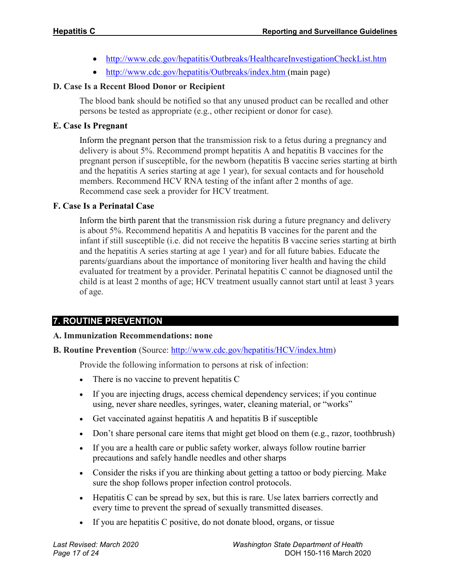- <http://www.cdc.gov/hepatitis/Outbreaks/HealthcareInvestigationCheckList.htm>
- <http://www.cdc.gov/hepatitis/Outbreaks/index.htm> (main page)

#### **D. Case Is a Recent Blood Donor or Recipient**

The blood bank should be notified so that any unused product can be recalled and other persons be tested as appropriate (e.g., other recipient or donor for case).

#### **E. Case Is Pregnant**

Inform the pregnant person that the transmission risk to a fetus during a pregnancy and delivery is about 5%. Recommend prompt hepatitis A and hepatitis B vaccines for the pregnant person if susceptible, for the newborn (hepatitis B vaccine series starting at birth and the hepatitis A series starting at age 1 year), for sexual contacts and for household members. Recommend HCV RNA testing of the infant after 2 months of age. Recommend case seek a provider for HCV treatment.

#### **F. Case Is a Perinatal Case**

Inform the birth parent that the transmission risk during a future pregnancy and delivery is about 5%. Recommend hepatitis A and hepatitis B vaccines for the parent and the infant if still susceptible (i.e. did not receive the hepatitis B vaccine series starting at birth and the hepatitis A series starting at age 1 year) and for all future babies. Educate the parents/guardians about the importance of monitoring liver health and having the child evaluated for treatment by a provider. Perinatal hepatitis C cannot be diagnosed until the child is at least 2 months of age; HCV treatment usually cannot start until at least 3 years of age.

## **7. ROUTINE PREVENTION**

#### **A. Immunization Recommendations: none**

#### **B. Routine Prevention** (Source: [http://www.cdc.gov/hepatitis/HCV/index.htm\)](http://www.cdc.gov/hepatitis/HCV/index.htm)

Provide the following information to persons at risk of infection:

- There is no vaccine to prevent hepatitis C
- If you are injecting drugs, access chemical dependency services; if you continue using, never share needles, syringes, water, cleaning material, or "works"
- Get vaccinated against hepatitis A and hepatitis B if susceptible
- Don't share personal care items that might get blood on them (e.g., razor, toothbrush)
- If you are a health care or public safety worker, always follow routine barrier precautions and safely handle needles and other sharps
- Consider the risks if you are thinking about getting a tattoo or body piercing. Make sure the shop follows proper infection control protocols.
- Hepatitis C can be spread by sex, but this is rare. Use latex barriers correctly and every time to prevent the spread of sexually transmitted diseases.
- If you are hepatitis C positive, do not donate blood, organs, or tissue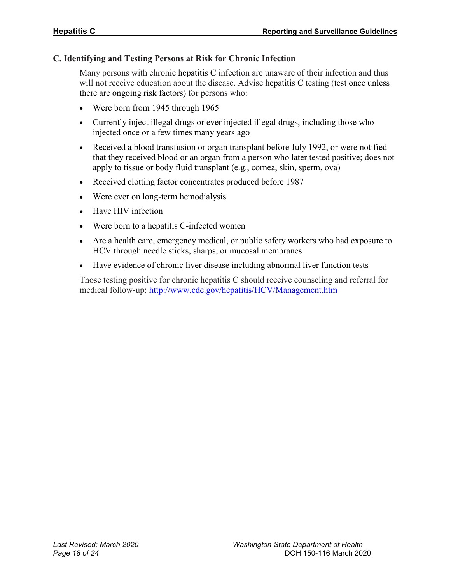#### **C. Identifying and Testing Persons at Risk for Chronic Infection**

Many persons with chronic hepatitis C infection are unaware of their infection and thus will not receive education about the disease. Advise hepatitis C testing (test once unless there are ongoing risk factors) for persons who:

- Were born from 1945 through 1965
- Currently inject illegal drugs or ever injected illegal drugs, including those who injected once or a few times many years ago
- Received a blood transfusion or organ transplant before July 1992, or were notified that they received blood or an organ from a person who later tested positive; does not apply to tissue or body fluid transplant (e.g., cornea, skin, sperm, ova)
- Received clotting factor concentrates produced before 1987
- Were ever on long-term hemodialysis
- Have HIV infection
- Were born to a hepatitis C-infected women
- Are a health care, emergency medical, or public safety workers who had exposure to HCV through needle sticks, sharps, or mucosal membranes
- Have evidence of chronic liver disease including abnormal liver function tests

Those testing positive for chronic hepatitis C should receive counseling and referral for medical follow-up:<http://www.cdc.gov/hepatitis/HCV/Management.htm>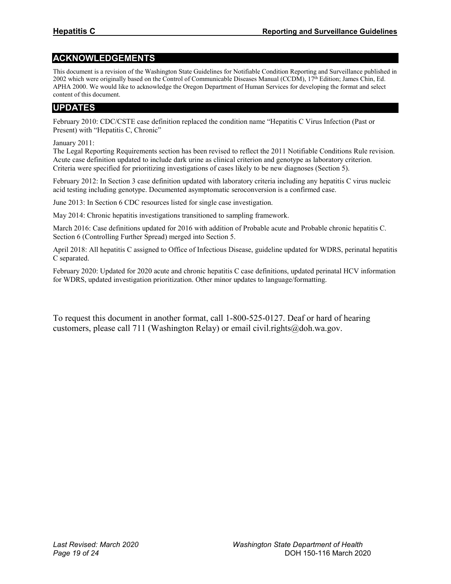## **ACKNOWLEDGEMENTS**

This document is a revision of the Washington State Guidelines for Notifiable Condition Reporting and Surveillance published in 2002 which were originally based on the Control of Communicable Diseases Manual (CCDM), 17th Edition; James Chin, Ed. APHA 2000. We would like to acknowledge the Oregon Department of Human Services for developing the format and select content of this document.

#### **UPDATES**

February 2010: CDC/CSTE case definition replaced the condition name "Hepatitis C Virus Infection (Past or Present) with "Hepatitis C, Chronic"

January 2011:

The Legal Reporting Requirements section has been revised to reflect the 2011 Notifiable Conditions Rule revision. Acute case definition updated to include dark urine as clinical criterion and genotype as laboratory criterion. Criteria were specified for prioritizing investigations of cases likely to be new diagnoses (Section 5).

February 2012: In Section 3 case definition updated with laboratory criteria including any hepatitis C virus nucleic acid testing including genotype. Documented asymptomatic seroconversion is a confirmed case.

June 2013: In Section 6 CDC resources listed for single case investigation.

May 2014: Chronic hepatitis investigations transitioned to sampling framework.

March 2016: Case definitions updated for 2016 with addition of Probable acute and Probable chronic hepatitis C. Section 6 (Controlling Further Spread) merged into Section 5.

April 2018: All hepatitis C assigned to Office of Infectious Disease, guideline updated for WDRS, perinatal hepatitis C separated.

February 2020: Updated for 2020 acute and chronic hepatitis C case definitions, updated perinatal HCV information for WDRS, updated investigation prioritization. Other minor updates to language/formatting.

To request this document in another format, call 1-800-525-0127. Deaf or hard of hearing customers, please call 711 (Washington Relay) or email civil.rights@doh.wa.gov.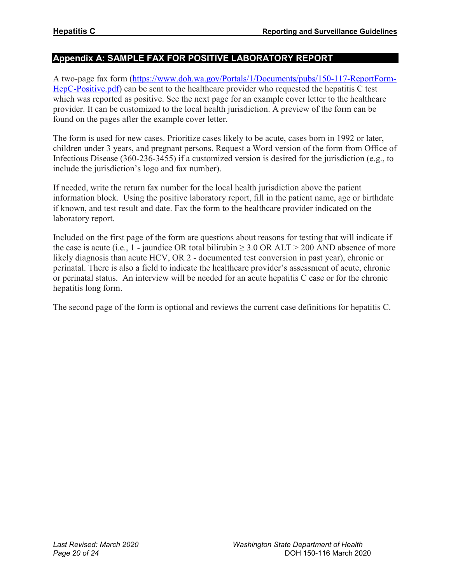## **Appendix A: SAMPLE FAX FOR POSITIVE LABORATORY REPORT**

A two-page fax form [\(https://www.doh.wa.gov/Portals/1/Documents/pubs/150-117-ReportForm-](https://www.doh.wa.gov/Portals/1/Documents/pubs/150-117-ReportForm-HepC-Positive.pdf)[HepC-Positive.pdf\)](https://www.doh.wa.gov/Portals/1/Documents/pubs/150-117-ReportForm-HepC-Positive.pdf) can be sent to the healthcare provider who requested the hepatitis C test which was reported as positive. See the next page for an example cover letter to the healthcare provider. It can be customized to the local health jurisdiction. A preview of the form can be found on the pages after the example cover letter.

The form is used for new cases. Prioritize cases likely to be acute, cases born in 1992 or later, children under 3 years, and pregnant persons. Request a Word version of the form from Office of Infectious Disease (360-236-3455) if a customized version is desired for the jurisdiction (e.g., to include the jurisdiction's logo and fax number).

If needed, write the return fax number for the local health jurisdiction above the patient information block. Using the positive laboratory report, fill in the patient name, age or birthdate if known, and test result and date. Fax the form to the healthcare provider indicated on the laboratory report.

Included on the first page of the form are questions about reasons for testing that will indicate if the case is acute (i.e., 1 - jaundice OR total bilirubin  $\geq 3.0$  OR ALT > 200 AND absence of more likely diagnosis than acute HCV, OR 2 - documented test conversion in past year), chronic or perinatal. There is also a field to indicate the healthcare provider's assessment of acute, chronic or perinatal status. An interview will be needed for an acute hepatitis C case or for the chronic hepatitis long form.

The second page of the form is optional and reviews the current case definitions for hepatitis C.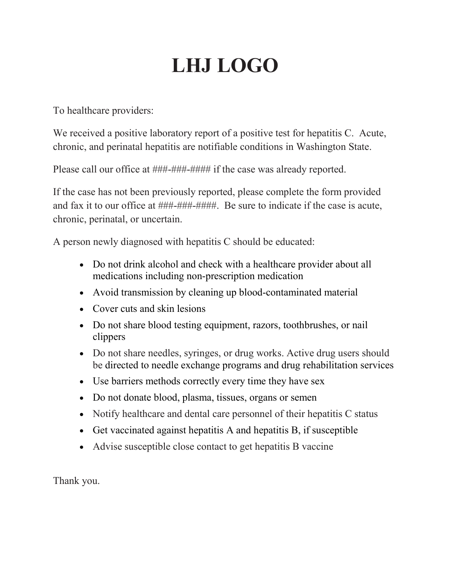## **LHJ LOGO**

To healthcare providers:

We received a positive laboratory report of a positive test for hepatitis C. Acute, chronic, and perinatal hepatitis are notifiable conditions in Washington State.

Please call our office at ###-###-#### if the case was already reported.

If the case has not been previously reported, please complete the form provided and fax it to our office at ###-###-####. Be sure to indicate if the case is acute, chronic, perinatal, or uncertain.

A person newly diagnosed with hepatitis C should be educated:

- Do not drink alcohol and check with a healthcare provider about all medications including non-prescription medication
- Avoid transmission by cleaning up blood-contaminated material
- Cover cuts and skin lesions
- Do not share blood testing equipment, razors, toothbrushes, or nail clippers
- Do not share needles, syringes, or drug works. Active drug users should be directed to needle exchange programs and drug rehabilitation services
- Use barriers methods correctly every time they have sex
- Do not donate blood, plasma, tissues, organs or semen
- Notify healthcare and dental care personnel of their hepatitis C status
- Get vaccinated against hepatitis A and hepatitis B, if susceptible
- Advise susceptible close contact to get hepatitis B vaccine

Thank you.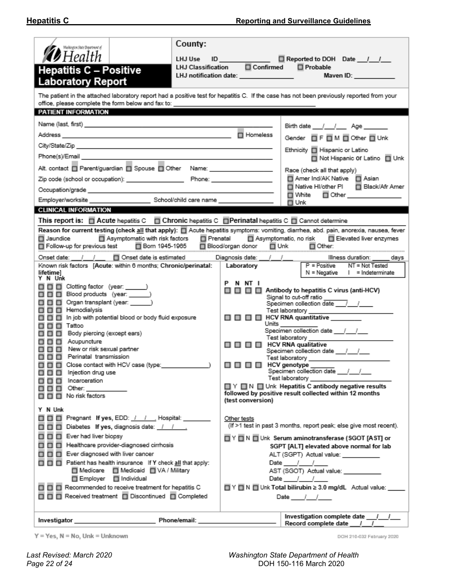| County:<br>Maskington State Department of<br>$\blacktriangleright$ Health<br>LHJ Use<br>LHJ Classification<br><b>Hepatitis C - Positive</b><br><b>Laboratory Report</b>                                                                                                                                                                                                                                                                                                                                                                       | ID Reported to DOH Date ///<br>$\square$ Confirmed<br>□ Probable<br>LHJ notification date: _______________                                                                                                                                                                                                                                                                                                                                                                                                                                                                                                                                                                                                     |  |  |  |  |
|-----------------------------------------------------------------------------------------------------------------------------------------------------------------------------------------------------------------------------------------------------------------------------------------------------------------------------------------------------------------------------------------------------------------------------------------------------------------------------------------------------------------------------------------------|----------------------------------------------------------------------------------------------------------------------------------------------------------------------------------------------------------------------------------------------------------------------------------------------------------------------------------------------------------------------------------------------------------------------------------------------------------------------------------------------------------------------------------------------------------------------------------------------------------------------------------------------------------------------------------------------------------------|--|--|--|--|
| The patient in the attached laboratory report had a positive test for hepatitis C. If the case has not been previously reported from your<br>office, please complete the form below and fax to: _                                                                                                                                                                                                                                                                                                                                             |                                                                                                                                                                                                                                                                                                                                                                                                                                                                                                                                                                                                                                                                                                                |  |  |  |  |
| PATIENT INFORMATION                                                                                                                                                                                                                                                                                                                                                                                                                                                                                                                           |                                                                                                                                                                                                                                                                                                                                                                                                                                                                                                                                                                                                                                                                                                                |  |  |  |  |
|                                                                                                                                                                                                                                                                                                                                                                                                                                                                                                                                               | Birth date / / Age                                                                                                                                                                                                                                                                                                                                                                                                                                                                                                                                                                                                                                                                                             |  |  |  |  |
|                                                                                                                                                                                                                                                                                                                                                                                                                                                                                                                                               | Homeless                                                                                                                                                                                                                                                                                                                                                                                                                                                                                                                                                                                                                                                                                                       |  |  |  |  |
|                                                                                                                                                                                                                                                                                                                                                                                                                                                                                                                                               | Gender FF TM TO ther TUnk                                                                                                                                                                                                                                                                                                                                                                                                                                                                                                                                                                                                                                                                                      |  |  |  |  |
|                                                                                                                                                                                                                                                                                                                                                                                                                                                                                                                                               | Ethnicity   Hispanic or Latino<br>□ Not Hispanic Of Latino □ Unk                                                                                                                                                                                                                                                                                                                                                                                                                                                                                                                                                                                                                                               |  |  |  |  |
| Alt. contact D Parent/guardian D Spouse D Other Name: _________________                                                                                                                                                                                                                                                                                                                                                                                                                                                                       | Race (check all that apply)                                                                                                                                                                                                                                                                                                                                                                                                                                                                                                                                                                                                                                                                                    |  |  |  |  |
|                                                                                                                                                                                                                                                                                                                                                                                                                                                                                                                                               | Amer Ind/AK Native   Asian                                                                                                                                                                                                                                                                                                                                                                                                                                                                                                                                                                                                                                                                                     |  |  |  |  |
| Occupation/grade and a state of the control of the control of the control of the control of the control of the                                                                                                                                                                                                                                                                                                                                                                                                                                | Native HI/other PI<br>Black/Afr Amer                                                                                                                                                                                                                                                                                                                                                                                                                                                                                                                                                                                                                                                                           |  |  |  |  |
|                                                                                                                                                                                                                                                                                                                                                                                                                                                                                                                                               | □ White<br>Other _______________<br>□ Unk                                                                                                                                                                                                                                                                                                                                                                                                                                                                                                                                                                                                                                                                      |  |  |  |  |
| <b>CLINICAL INFORMATION</b>                                                                                                                                                                                                                                                                                                                                                                                                                                                                                                                   |                                                                                                                                                                                                                                                                                                                                                                                                                                                                                                                                                                                                                                                                                                                |  |  |  |  |
| This report is: Acute hepatitis C Achronic hepatitis C Achronic Aperinatal hepatitis C Achronic determine                                                                                                                                                                                                                                                                                                                                                                                                                                     |                                                                                                                                                                                                                                                                                                                                                                                                                                                                                                                                                                                                                                                                                                                |  |  |  |  |
| Reason for current testing (check all that apply): [ Acute hepatitis symptoms: vomiting, diarrhea, abd. pain, anorexia, nausea, fever<br>□ Asymptomatic with risk factors □ Prenatal □ Asymptomatic, no risk □ Elevated liver enzymes<br>□ Jaundice<br>□ Born 1945-1965<br>$\Box$ Follow-up for previous test<br>□ Blood/organ donor □ Unk<br>$\square$ Other:                                                                                                                                                                                |                                                                                                                                                                                                                                                                                                                                                                                                                                                                                                                                                                                                                                                                                                                |  |  |  |  |
| □ Onset date is estimated<br>Onset date: / /<br>Known risk factors [Acute: within 6 months; Chronic/perinatal:                                                                                                                                                                                                                                                                                                                                                                                                                                | Diagnosis date: ___/___/___<br>Illness duration: _____ days<br>$P = Positive$<br>NT = Not Tested<br>Laboratory                                                                                                                                                                                                                                                                                                                                                                                                                                                                                                                                                                                                 |  |  |  |  |
| lifetimel                                                                                                                                                                                                                                                                                                                                                                                                                                                                                                                                     | $N = Negative$   = Indeterminate                                                                                                                                                                                                                                                                                                                                                                                                                                                                                                                                                                                                                                                                               |  |  |  |  |
| Y N Unk<br>□□□□ Clotting factor (year: ______)<br>□□□ Blood products (year: ______)<br>8 8 8<br>Organ transplant (year: ______)<br>□□□ Hemodialysis<br>In job with potential blood or body fluid exposure<br>8 8 8<br>8 8 8<br>Tattoo<br>8 8 8<br>Body piercing (except ears)<br>8 8 8<br>Acupuncture<br>□□□ New or risk sexual partner<br>□□□ Perinatal transmission<br>□□□□ Close contact with HCV case (type:<br>8 8 8<br>Injection drug use<br><b>000</b><br>Incarceration<br>$\Box$ $\Box$ $\Box$ Other: $\_\_$<br>□ □ □ No risk factors | PNNTI<br>Antibody to hepatitis C virus (anti-HCV)<br>88 8 8<br>Signal to cut-off ratio<br>Specimen collection date $\frac{1}{2}$<br>Test laboratory __________________<br>O O O HCV RNA quantitative<br>Units ___________<br>Specimen collection date ///<br>Test laboratory <b>contracts</b><br>$\square \square \square \square$ HCV RNA qualitative<br>Specimen collection date ___ /___ /____<br>Test laboratory _____________<br>$\Box$ $\Box$ $\Box$ $\Box$ $\Box$ HCV genotype $\Box$<br>Specimen collection date 11<br>Test laboratory<br>$\Box$ $\Upsilon$ $\Box$ $N$ $\Box$ Unk Hepatitis C antibody negative results<br>followed by positive result collected within 12 months<br>(test conversion) |  |  |  |  |
| Y N Unk<br>□□□□ Pregnant If yes, EDD: / / / _. Hospital: ____<br>□□□□ Diabetes If yes, diagnosis date: _/ / __<br>□□□ Ever had liver biopsy<br>□□ □ Healthcare provider-diagnosed cirrhosis<br>□□□□ Ever diagnosed with liver cancer<br>T T T Patient has health insurance If Y check all that apply:<br>■ Medicare ■ Medicaid ■ VA / Military<br>□ Employer □ Individual<br>□□□ Recommended to receive treatment for hepatitis C                                                                                                             | Other tests<br>(If >1 test in past 3 months, report peak; else give most recent).<br>$\Box$ $\lor$ $\Box$ $\Box$ Unk Serum aminotransferase (SGOT [AST] or<br>SGPT [ALT] elevated above normal for lab<br>ALT (SGPT) Actual value: __________<br>Date $1/$<br>AST (SGOT) Actual value: ___________<br>Date / /<br>□ Y □ N □ Unk Total bilirubin ≥ 3.0 mg/dL Actual value: ___                                                                                                                                                                                                                                                                                                                                  |  |  |  |  |
| □□□ Received treatment □ Discontinued □ Completed<br>Date $/$ $/$                                                                                                                                                                                                                                                                                                                                                                                                                                                                             |                                                                                                                                                                                                                                                                                                                                                                                                                                                                                                                                                                                                                                                                                                                |  |  |  |  |
|                                                                                                                                                                                                                                                                                                                                                                                                                                                                                                                                               | Investigation complete date ___/___/___<br>Record complete date / /                                                                                                                                                                                                                                                                                                                                                                                                                                                                                                                                                                                                                                            |  |  |  |  |

 $Y = Yes, N = No, Unk = Unknown$ 

DOH 210-032 February 2020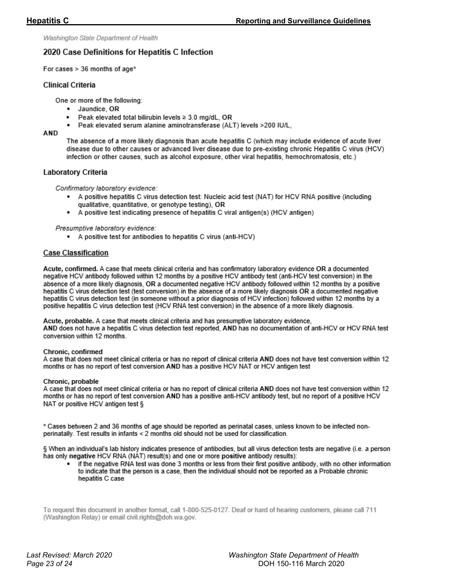Washington State Department of Health

#### 2020 Case Definitions for Hepatitis C Infection

For cases  $> 36$  months of age\*

#### **Clinical Criteria**

One or more of the following:

- · Jaundice, OR
- Peak elevated total bilirubin levels ≥ 3.0 mg/dL, OR  $\bullet$
- Peak elevated serum alanine aminotransferase (ALT) levels >200 IU/L,

#### AND

The absence of a more likely diagnosis than acute hepatitis C (which may include evidence of acute liver disease due to other causes or advanced liver disease due to pre-existing chronic Hepatitis C virus (HCV) infection or other causes, such as alcohol exposure, other viral hepatitis, hemochromatosis, etc.)

#### Laboratory Criteria

Confirmatory laboratory evidence:

- . A positive hepatitis C virus detection test: Nucleic acid test (NAT) for HCV RNA positive (including qualitative, quantitative, or genotype testing), OR
- A positive test indicating presence of hepatitis C viral antigen(s) (HCV antigen)

#### Presumptive laboratory evidence:

• A positive test for antibodies to hepatitis C virus (anti-HCV)

#### **Case Classification**

Acute, confirmed. A case that meets clinical criteria and has confirmatory laboratory evidence OR a documented negative HCV antibody followed within 12 months by a positive HCV antibody test (anti-HCV test conversion) in the absence of a more likely diagnosis, OR a documented negative HCV antibody followed within 12 months by a positive hepatitis C virus detection test (test conversion) in the absence of a more likely diagnosis OR a documented negative hepatitis C virus detection test (in someone without a prior diagnosis of HCV infection) followed within 12 months by a positive hepatitis C virus detection test (HCV RNA test conversion) in the absence of a more likely diagnosis.

Acute, probable. A case that meets clinical criteria and has presumptive laboratory evidence, AND does not have a hepatitis C virus detection test reported, AND has no documentation of anti-HCV or HCV RNA test conversion within 12 months.

#### Chronic, confirmed

A case that does not meet clinical criteria or has no report of clinical criteria AND does not have test conversion within 12 months or has no report of test conversion AND has a positive HCV NAT or HCV antigen test

#### Chronic, probable

A case that does not meet clinical criteria or has no report of clinical criteria AND does not have test conversion within 12 months or has no report of test conversion AND has a positive anti-HCV antibody test, but no report of a positive HCV NAT or positive HCV antigen test §

\* Cases between 2 and 36 months of age should be reported as perinatal cases, unless known to be infected nonperinatally. Test results in infants < 2 months old should not be used for classification.

§ When an individual's lab history indicates presence of antibodies, but all virus detection tests are negative (i.e. a person has only negative HCV RNA (NAT) result(s) and one or more positive antibody results):

if the negative RNA test was done 3 months or less from their first positive antibody, with no other information to indicate that the person is a case, then the individual should not be reported as a Probable chronic hepatitis C case

To request this document in another format, call 1-800-525-0127. Deaf or hard of hearing customers, please call 711 (Washington Relay) or email civil.rights@doh.wa.gov.